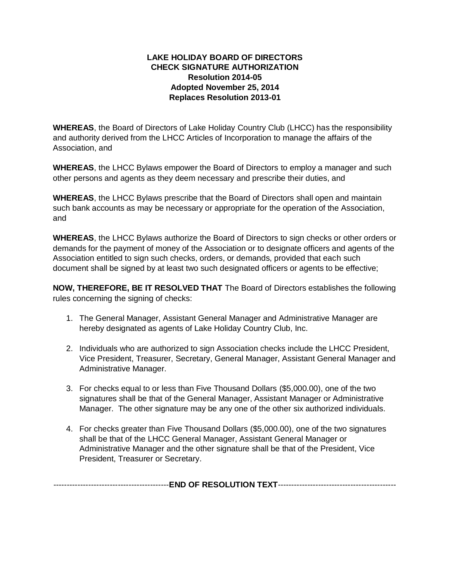## **LAKE HOLIDAY BOARD OF DIRECTORS CHECK SIGNATURE AUTHORIZATION Resolution 2014-05 Adopted November 25, 2014 Replaces Resolution 2013-01**

**WHEREAS**, the Board of Directors of Lake Holiday Country Club (LHCC) has the responsibility and authority derived from the LHCC Articles of Incorporation to manage the affairs of the Association, and

**WHEREAS**, the LHCC Bylaws empower the Board of Directors to employ a manager and such other persons and agents as they deem necessary and prescribe their duties, and

**WHEREAS**, the LHCC Bylaws prescribe that the Board of Directors shall open and maintain such bank accounts as may be necessary or appropriate for the operation of the Association, and

**WHEREAS**, the LHCC Bylaws authorize the Board of Directors to sign checks or other orders or demands for the payment of money of the Association or to designate officers and agents of the Association entitled to sign such checks, orders, or demands, provided that each such document shall be signed by at least two such designated officers or agents to be effective;

**NOW, THEREFORE, BE IT RESOLVED THAT** The Board of Directors establishes the following rules concerning the signing of checks:

- 1. The General Manager, Assistant General Manager and Administrative Manager are hereby designated as agents of Lake Holiday Country Club, Inc.
- 2. Individuals who are authorized to sign Association checks include the LHCC President, Vice President, Treasurer, Secretary, General Manager, Assistant General Manager and Administrative Manager.
- 3. For checks equal to or less than Five Thousand Dollars (\$5,000.00), one of the two signatures shall be that of the General Manager, Assistant Manager or Administrative Manager. The other signature may be any one of the other six authorized individuals.
- 4. For checks greater than Five Thousand Dollars (\$5,000.00), one of the two signatures shall be that of the LHCC General Manager, Assistant General Manager or Administrative Manager and the other signature shall be that of the President, Vice President, Treasurer or Secretary.

|--|